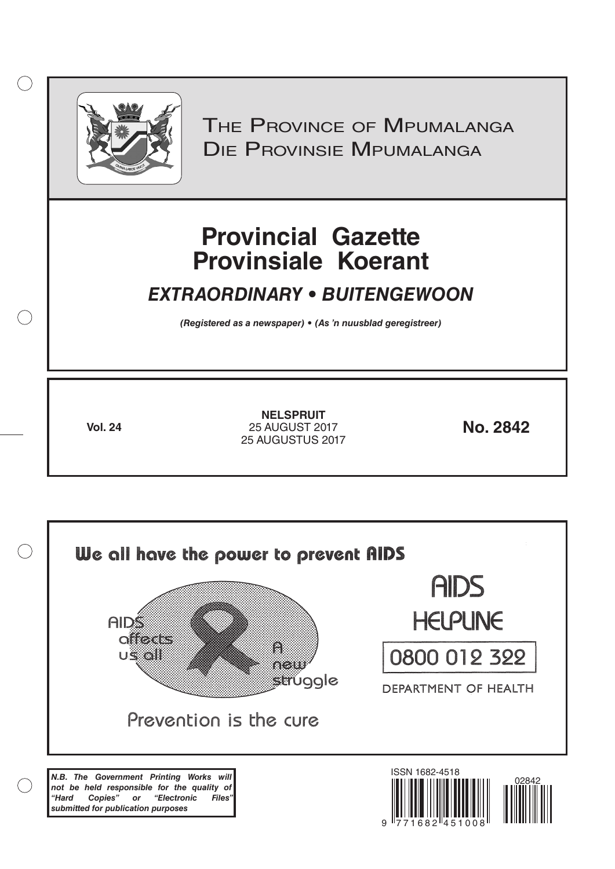

 $( )$ 

THE PROVINCE OF MPUMALANGA Die Provinsie Mpumalanga

# **Provincial Gazette Provinsiale Koerant**

# *EXTRAORDINARY • BUITENGEWOON*

*(Registered as a newspaper) • (As 'n nuusblad geregistreer)*

**Vol. 24 No. 2842** 25 AUGUST 2017 **NELSPRUIT** 25 AUGUSTUS 2017

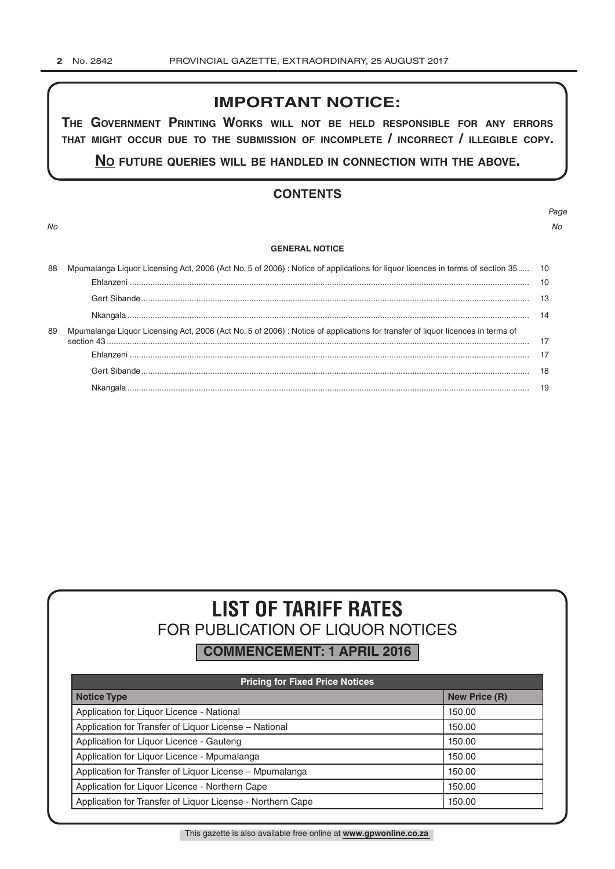## **IMPORTANT NOTICE:**

**The GovernmenT PrinTinG Works Will noT be held resPonsible for any errors ThaT miGhT occur due To The submission of incomPleTe / incorrecT / illeGible coPy.**

**no fuTure queries Will be handled in connecTion WiTh The above.**

## **CONTENTS**

*No No*

*Page*

#### **GENERAL NOTICE**

| 88 | Mpumalanga Liquor Licensing Act, 2006 (Act No. 5 of 2006) : Notice of applications for liquor licences in terms of section 35 10 |  |  |  |
|----|----------------------------------------------------------------------------------------------------------------------------------|--|--|--|
|    |                                                                                                                                  |  |  |  |
|    |                                                                                                                                  |  |  |  |
|    |                                                                                                                                  |  |  |  |
| 89 | Mpumalanga Liguor Licensing Act, 2006 (Act No. 5 of 2006): Notice of applications for transfer of liguor licences in terms of    |  |  |  |
|    |                                                                                                                                  |  |  |  |
|    |                                                                                                                                  |  |  |  |
|    |                                                                                                                                  |  |  |  |
|    |                                                                                                                                  |  |  |  |

# **LIST OF TARIFF RATES** FOR PUBLICATION OF LIQUOR NOTICES

**COMMENCEMENT: 1 APRIL 2016**

| <b>Pricing for Fixed Price Notices</b>                     |                      |  |  |  |
|------------------------------------------------------------|----------------------|--|--|--|
| <b>Notice Type</b>                                         | <b>New Price (R)</b> |  |  |  |
| Application for Liquor Licence - National                  | 150.00               |  |  |  |
| Application for Transfer of Liquor License - National      | 150.00               |  |  |  |
| Application for Liquor Licence - Gauteng                   | 150.00               |  |  |  |
| Application for Liquor Licence - Mpumalanga                | 150.00               |  |  |  |
| Application for Transfer of Liquor License - Mpumalanga    | 150.00               |  |  |  |
| Application for Liquor Licence - Northern Cape             | 150.00               |  |  |  |
| Application for Transfer of Liquor License - Northern Cape | 150.00               |  |  |  |

This gazette is also available free online at **www.gpwonline.co.za**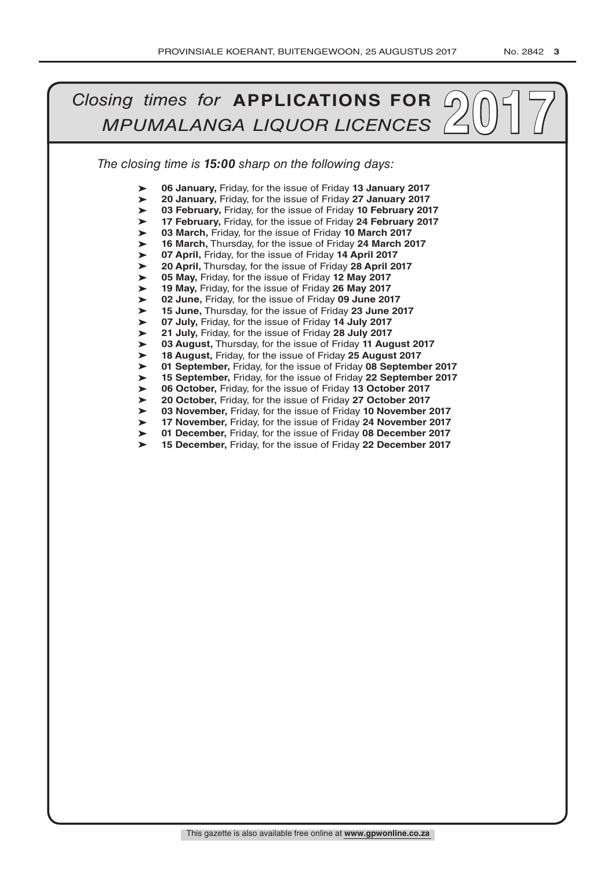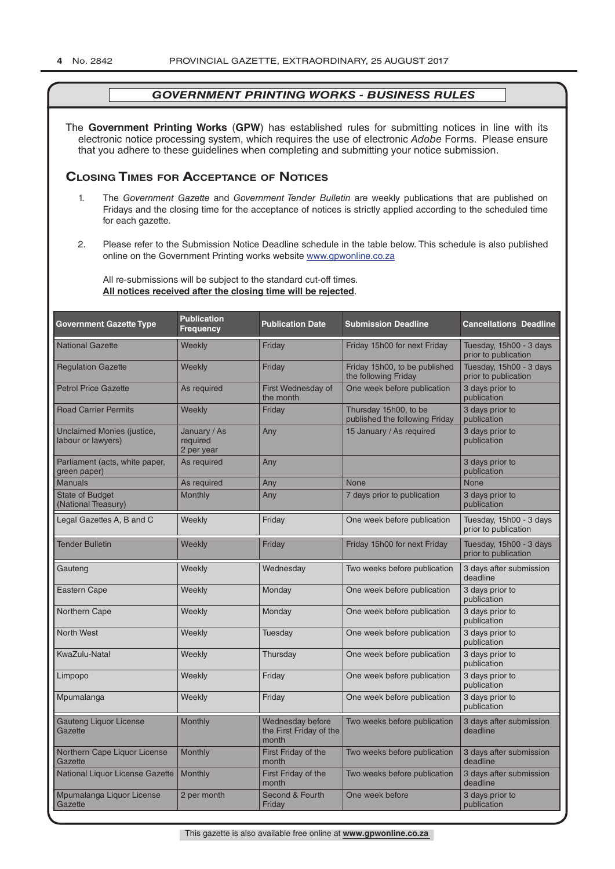The **Government Printing Works** (**GPW**) has established rules for submitting notices in line with its electronic notice processing system, which requires the use of electronic *Adobe* Forms. Please ensure that you adhere to these guidelines when completing and submitting your notice submission.

## **Closing Times for ACCepTAnCe of noTiCes**

- 1. The *Government Gazette* and *Government Tender Bulletin* are weekly publications that are published on Fridays and the closing time for the acceptance of notices is strictly applied according to the scheduled time for each gazette.
- 2. Please refer to the Submission Notice Deadline schedule in the table below. This schedule is also published online on the Government Printing works website www.gpwonline.co.za

All re-submissions will be subject to the standard cut-off times. **All notices received after the closing time will be rejected**.

| <b>Government Gazette Type</b>                          | <b>Publication</b><br><b>Frequency</b> | <b>Publication Date</b>                              | <b>Submission Deadline</b>                              | <b>Cancellations Deadline</b>                   |
|---------------------------------------------------------|----------------------------------------|------------------------------------------------------|---------------------------------------------------------|-------------------------------------------------|
| <b>National Gazette</b>                                 | Weekly                                 | Friday                                               | Friday 15h00 for next Friday                            | Tuesday, 15h00 - 3 days<br>prior to publication |
| <b>Regulation Gazette</b>                               | Weekly                                 | Friday                                               | Friday 15h00, to be published<br>the following Friday   | Tuesday, 15h00 - 3 days<br>prior to publication |
| <b>Petrol Price Gazette</b>                             | As required                            | First Wednesday of<br>the month                      | One week before publication                             | 3 days prior to<br>publication                  |
| <b>Road Carrier Permits</b>                             | Weekly                                 | Friday                                               | Thursday 15h00, to be<br>published the following Friday | 3 days prior to<br>publication                  |
| <b>Unclaimed Monies (justice,</b><br>labour or lawyers) | January / As<br>required<br>2 per year | Any                                                  | 15 January / As required                                | 3 days prior to<br>publication                  |
| Parliament (acts, white paper,<br>green paper)          | As required                            | Any                                                  |                                                         | 3 days prior to<br>publication                  |
| <b>Manuals</b>                                          | As required                            | Any                                                  | <b>None</b>                                             | <b>None</b>                                     |
| <b>State of Budget</b><br>(National Treasury)           | <b>Monthly</b>                         | Any                                                  | 7 days prior to publication                             | 3 days prior to<br>publication                  |
| Legal Gazettes A, B and C                               | Weekly                                 | Friday                                               | One week before publication                             | Tuesday, 15h00 - 3 days<br>prior to publication |
| <b>Tender Bulletin</b>                                  | Weekly                                 | Friday                                               | Friday 15h00 for next Friday                            | Tuesday, 15h00 - 3 days<br>prior to publication |
| Gauteng                                                 | Weekly                                 | Wednesday                                            | Two weeks before publication                            | 3 days after submission<br>deadline             |
| <b>Eastern Cape</b>                                     | Weekly                                 | Monday                                               | One week before publication                             | 3 days prior to<br>publication                  |
| <b>Northern Cape</b>                                    | Weekly                                 | Monday                                               | One week before publication                             | 3 days prior to<br>publication                  |
| <b>North West</b>                                       | Weekly                                 | Tuesday                                              | One week before publication                             | 3 days prior to<br>publication                  |
| KwaZulu-Natal                                           | Weekly                                 | Thursday                                             | One week before publication                             | 3 days prior to<br>publication                  |
| Limpopo                                                 | Weekly                                 | Friday                                               | One week before publication                             | 3 days prior to<br>publication                  |
| Mpumalanga                                              | Weekly                                 | Friday                                               | One week before publication                             | 3 days prior to<br>publication                  |
| <b>Gauteng Liquor License</b><br>Gazette                | Monthly                                | Wednesday before<br>the First Friday of the<br>month | Two weeks before publication                            | 3 days after submission<br>deadline             |
| Northern Cape Liquor License<br>Gazette                 | Monthly                                | First Friday of the<br>month                         | Two weeks before publication                            | 3 days after submission<br>deadline             |
| National Liquor License Gazette                         | Monthly                                | First Friday of the<br>month                         | Two weeks before publication                            | 3 days after submission<br>deadline             |
| Mpumalanga Liquor License<br>Gazette                    | 2 per month                            | Second & Fourth<br>Friday                            | One week before                                         | 3 days prior to<br>publication                  |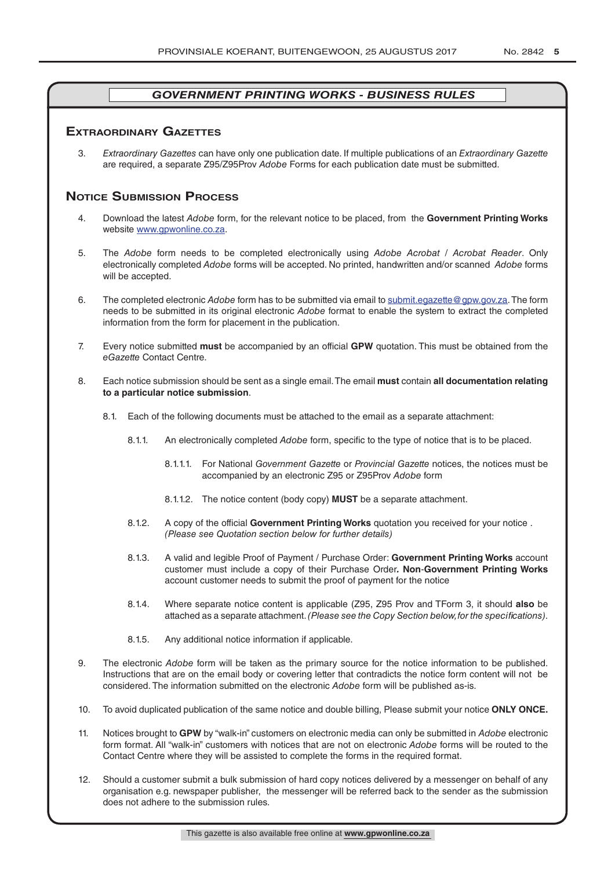## **exTrAordinAry gAzeTTes**

3. *Extraordinary Gazettes* can have only one publication date. If multiple publications of an *Extraordinary Gazette* are required, a separate Z95/Z95Prov *Adobe* Forms for each publication date must be submitted.

## **NOTICE SUBMISSION PROCESS**

- 4. Download the latest *Adobe* form, for the relevant notice to be placed, from the **Government Printing Works** website www.gpwonline.co.za.
- 5. The *Adobe* form needs to be completed electronically using *Adobe Acrobat* / *Acrobat Reader*. Only electronically completed *Adobe* forms will be accepted. No printed, handwritten and/or scanned *Adobe* forms will be accepted.
- 6. The completed electronic *Adobe* form has to be submitted via email to submit.egazette@gpw.gov.za. The form needs to be submitted in its original electronic *Adobe* format to enable the system to extract the completed information from the form for placement in the publication.
- 7. Every notice submitted **must** be accompanied by an official **GPW** quotation. This must be obtained from the *eGazette* Contact Centre.
- 8. Each notice submission should be sent as a single email. The email **must** contain **all documentation relating to a particular notice submission**.
	- 8.1. Each of the following documents must be attached to the email as a separate attachment:
		- 8.1.1. An electronically completed *Adobe* form, specific to the type of notice that is to be placed.
			- 8.1.1.1. For National *Government Gazette* or *Provincial Gazette* notices, the notices must be accompanied by an electronic Z95 or Z95Prov *Adobe* form
			- 8.1.1.2. The notice content (body copy) **MUST** be a separate attachment.
		- 8.1.2. A copy of the official **Government Printing Works** quotation you received for your notice . *(Please see Quotation section below for further details)*
		- 8.1.3. A valid and legible Proof of Payment / Purchase Order: **Government Printing Works** account customer must include a copy of their Purchase Order*.* **Non**-**Government Printing Works** account customer needs to submit the proof of payment for the notice
		- 8.1.4. Where separate notice content is applicable (Z95, Z95 Prov and TForm 3, it should **also** be attached as a separate attachment. *(Please see the Copy Section below, for the specifications)*.
		- 8.1.5. Any additional notice information if applicable.
- 9. The electronic *Adobe* form will be taken as the primary source for the notice information to be published. Instructions that are on the email body or covering letter that contradicts the notice form content will not be considered. The information submitted on the electronic *Adobe* form will be published as-is.
- 10. To avoid duplicated publication of the same notice and double billing, Please submit your notice **ONLY ONCE.**
- 11. Notices brought to **GPW** by "walk-in" customers on electronic media can only be submitted in *Adobe* electronic form format. All "walk-in" customers with notices that are not on electronic *Adobe* forms will be routed to the Contact Centre where they will be assisted to complete the forms in the required format.
- 12. Should a customer submit a bulk submission of hard copy notices delivered by a messenger on behalf of any organisation e.g. newspaper publisher, the messenger will be referred back to the sender as the submission does not adhere to the submission rules.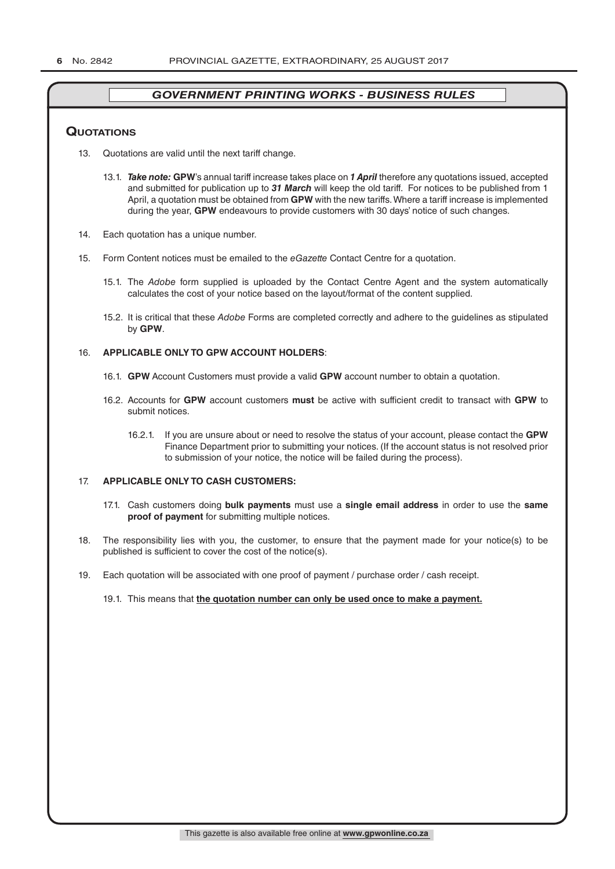## **QuoTATions**

- 13. Quotations are valid until the next tariff change.
	- 13.1. *Take note:* **GPW**'s annual tariff increase takes place on *1 April* therefore any quotations issued, accepted and submitted for publication up to *31 March* will keep the old tariff. For notices to be published from 1 April, a quotation must be obtained from **GPW** with the new tariffs. Where a tariff increase is implemented during the year, **GPW** endeavours to provide customers with 30 days' notice of such changes.
- 14. Each quotation has a unique number.
- 15. Form Content notices must be emailed to the *eGazette* Contact Centre for a quotation.
	- 15.1. The *Adobe* form supplied is uploaded by the Contact Centre Agent and the system automatically calculates the cost of your notice based on the layout/format of the content supplied.
	- 15.2. It is critical that these *Adobe* Forms are completed correctly and adhere to the guidelines as stipulated by **GPW**.

#### 16. **APPLICABLE ONLY TO GPW ACCOUNT HOLDERS**:

- 16.1. **GPW** Account Customers must provide a valid **GPW** account number to obtain a quotation.
- 16.2. Accounts for **GPW** account customers **must** be active with sufficient credit to transact with **GPW** to submit notices.
	- 16.2.1. If you are unsure about or need to resolve the status of your account, please contact the **GPW** Finance Department prior to submitting your notices. (If the account status is not resolved prior to submission of your notice, the notice will be failed during the process).

#### 17. **APPLICABLE ONLY TO CASH CUSTOMERS:**

- 17.1. Cash customers doing **bulk payments** must use a **single email address** in order to use the **same proof of payment** for submitting multiple notices.
- 18. The responsibility lies with you, the customer, to ensure that the payment made for your notice(s) to be published is sufficient to cover the cost of the notice(s).
- 19. Each quotation will be associated with one proof of payment / purchase order / cash receipt.

#### 19.1. This means that **the quotation number can only be used once to make a payment.**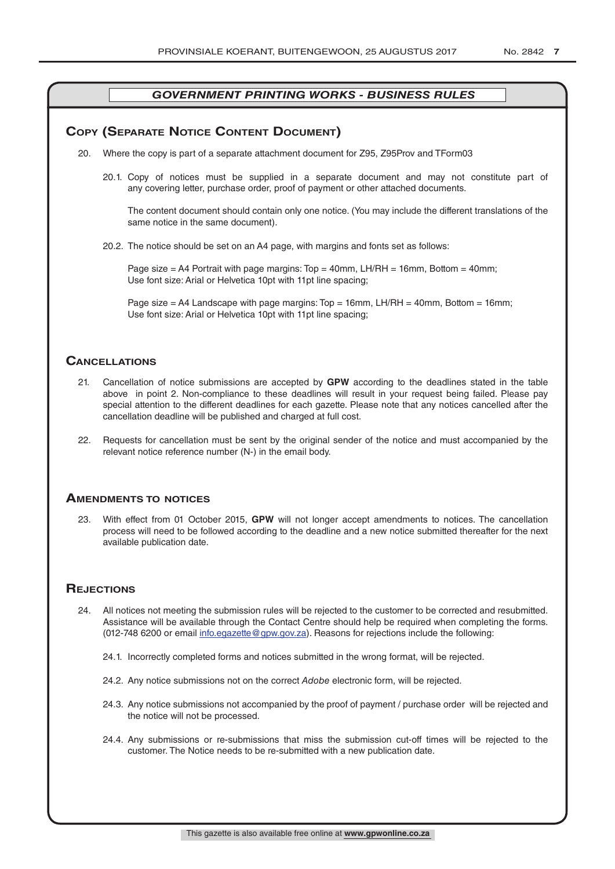## **COPY (SEPARATE NOTICE CONTENT DOCUMENT)**

- 20. Where the copy is part of a separate attachment document for Z95, Z95Prov and TForm03
	- 20.1. Copy of notices must be supplied in a separate document and may not constitute part of any covering letter, purchase order, proof of payment or other attached documents.

The content document should contain only one notice. (You may include the different translations of the same notice in the same document).

20.2. The notice should be set on an A4 page, with margins and fonts set as follows:

Page size  $=$  A4 Portrait with page margins: Top  $=$  40mm, LH/RH  $=$  16mm, Bottom  $=$  40mm; Use font size: Arial or Helvetica 10pt with 11pt line spacing;

Page size = A4 Landscape with page margins: Top = 16mm, LH/RH = 40mm, Bottom = 16mm; Use font size: Arial or Helvetica 10pt with 11pt line spacing;

## **CAnCellATions**

- 21. Cancellation of notice submissions are accepted by **GPW** according to the deadlines stated in the table above in point 2. Non-compliance to these deadlines will result in your request being failed. Please pay special attention to the different deadlines for each gazette. Please note that any notices cancelled after the cancellation deadline will be published and charged at full cost.
- 22. Requests for cancellation must be sent by the original sender of the notice and must accompanied by the relevant notice reference number (N-) in the email body.

## **AmendmenTs To noTiCes**

23. With effect from 01 October 2015, **GPW** will not longer accept amendments to notices. The cancellation process will need to be followed according to the deadline and a new notice submitted thereafter for the next available publication date.

## **REJECTIONS**

- 24. All notices not meeting the submission rules will be rejected to the customer to be corrected and resubmitted. Assistance will be available through the Contact Centre should help be required when completing the forms. (012-748 6200 or email info.egazette@gpw.gov.za). Reasons for rejections include the following:
	- 24.1. Incorrectly completed forms and notices submitted in the wrong format, will be rejected.
	- 24.2. Any notice submissions not on the correct *Adobe* electronic form, will be rejected.
	- 24.3. Any notice submissions not accompanied by the proof of payment / purchase order will be rejected and the notice will not be processed.
	- 24.4. Any submissions or re-submissions that miss the submission cut-off times will be rejected to the customer. The Notice needs to be re-submitted with a new publication date.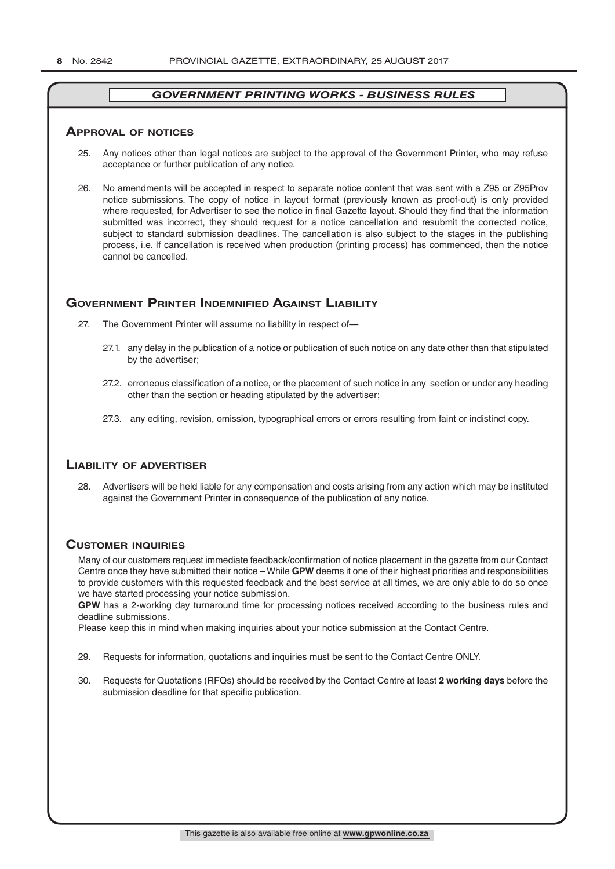#### **ApprovAl of noTiCes**

- 25. Any notices other than legal notices are subject to the approval of the Government Printer, who may refuse acceptance or further publication of any notice.
- 26. No amendments will be accepted in respect to separate notice content that was sent with a Z95 or Z95Prov notice submissions. The copy of notice in layout format (previously known as proof-out) is only provided where requested, for Advertiser to see the notice in final Gazette layout. Should they find that the information submitted was incorrect, they should request for a notice cancellation and resubmit the corrected notice, subject to standard submission deadlines. The cancellation is also subject to the stages in the publishing process, i.e. If cancellation is received when production (printing process) has commenced, then the notice cannot be cancelled.

## **governmenT prinTer indemnified AgAinsT liAbiliTy**

- 27. The Government Printer will assume no liability in respect of—
	- 27.1. any delay in the publication of a notice or publication of such notice on any date other than that stipulated by the advertiser;
	- 27.2. erroneous classification of a notice, or the placement of such notice in any section or under any heading other than the section or heading stipulated by the advertiser;
	- 27.3. any editing, revision, omission, typographical errors or errors resulting from faint or indistinct copy.

## **liAbiliTy of AdverTiser**

28. Advertisers will be held liable for any compensation and costs arising from any action which may be instituted against the Government Printer in consequence of the publication of any notice.

## **CusTomer inQuiries**

Many of our customers request immediate feedback/confirmation of notice placement in the gazette from our Contact Centre once they have submitted their notice – While **GPW** deems it one of their highest priorities and responsibilities to provide customers with this requested feedback and the best service at all times, we are only able to do so once we have started processing your notice submission.

**GPW** has a 2-working day turnaround time for processing notices received according to the business rules and deadline submissions.

Please keep this in mind when making inquiries about your notice submission at the Contact Centre.

- 29. Requests for information, quotations and inquiries must be sent to the Contact Centre ONLY.
- 30. Requests for Quotations (RFQs) should be received by the Contact Centre at least **2 working days** before the submission deadline for that specific publication.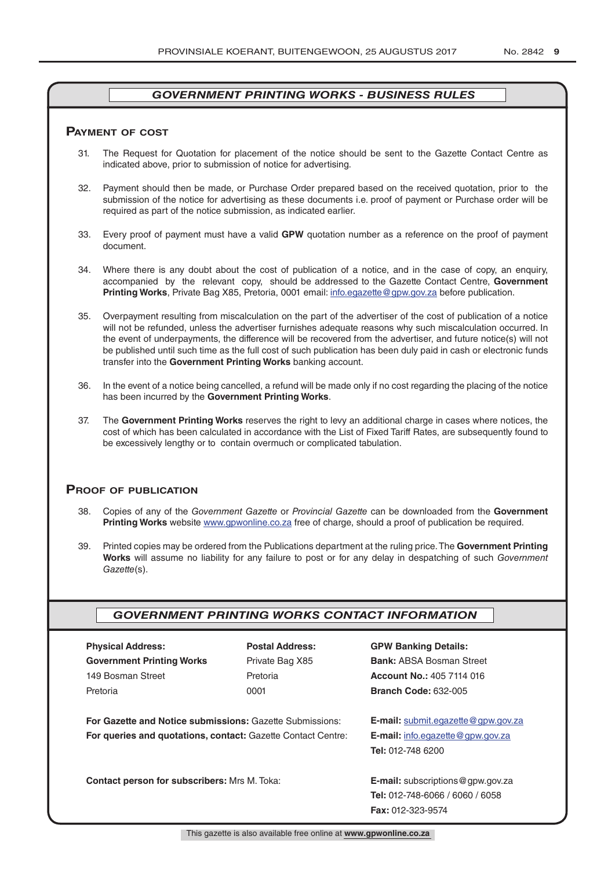#### **pAymenT of CosT**

- 31. The Request for Quotation for placement of the notice should be sent to the Gazette Contact Centre as indicated above, prior to submission of notice for advertising.
- 32. Payment should then be made, or Purchase Order prepared based on the received quotation, prior to the submission of the notice for advertising as these documents i.e. proof of payment or Purchase order will be required as part of the notice submission, as indicated earlier.
- 33. Every proof of payment must have a valid **GPW** quotation number as a reference on the proof of payment document.
- 34. Where there is any doubt about the cost of publication of a notice, and in the case of copy, an enquiry, accompanied by the relevant copy, should be addressed to the Gazette Contact Centre, **Government Printing Works**, Private Bag X85, Pretoria, 0001 email: info.egazette@gpw.gov.za before publication.
- 35. Overpayment resulting from miscalculation on the part of the advertiser of the cost of publication of a notice will not be refunded, unless the advertiser furnishes adequate reasons why such miscalculation occurred. In the event of underpayments, the difference will be recovered from the advertiser, and future notice(s) will not be published until such time as the full cost of such publication has been duly paid in cash or electronic funds transfer into the **Government Printing Works** banking account.
- 36. In the event of a notice being cancelled, a refund will be made only if no cost regarding the placing of the notice has been incurred by the **Government Printing Works**.
- 37. The **Government Printing Works** reserves the right to levy an additional charge in cases where notices, the cost of which has been calculated in accordance with the List of Fixed Tariff Rates, are subsequently found to be excessively lengthy or to contain overmuch or complicated tabulation.

## **proof of publiCATion**

- 38. Copies of any of the *Government Gazette* or *Provincial Gazette* can be downloaded from the **Government Printing Works** website www.gpwonline.co.za free of charge, should a proof of publication be required.
- 39. Printed copies may be ordered from the Publications department at the ruling price. The **Government Printing Works** will assume no liability for any failure to post or for any delay in despatching of such *Government Gazette*(s).

## *GOVERNMENT PRINTING WORKS CONTACT INFORMATION*

| <b>Physical Address:</b>         |  |  |  |  |
|----------------------------------|--|--|--|--|
| <b>Government Printing Works</b> |  |  |  |  |
| 149 Bosman Street                |  |  |  |  |
| Pretoria                         |  |  |  |  |

**For Gazette and Notice submissions:** Gazette Submissions: **E-mail:** submit.egazette@gpw.gov.za **For queries and quotations, contact:** Gazette Contact Centre: **E-mail:** info.egazette@gpw.gov.za

**Contact person for subscribers:** Mrs M. Toka: **E-mail:** subscriptions@gpw.gov.za

## **Physical Address: Postal Address: GPW Banking Details:**

Private Bag X85 **Bank:** ABSA Bosman Street 149 Bosman Street Pretoria **Account No.:** 405 7114 016 Pretoria 0001 **Branch Code:** 632-005

**Tel:** 012-748 6200

**Tel:** 012-748-6066 / 6060 / 6058 **Fax:** 012-323-9574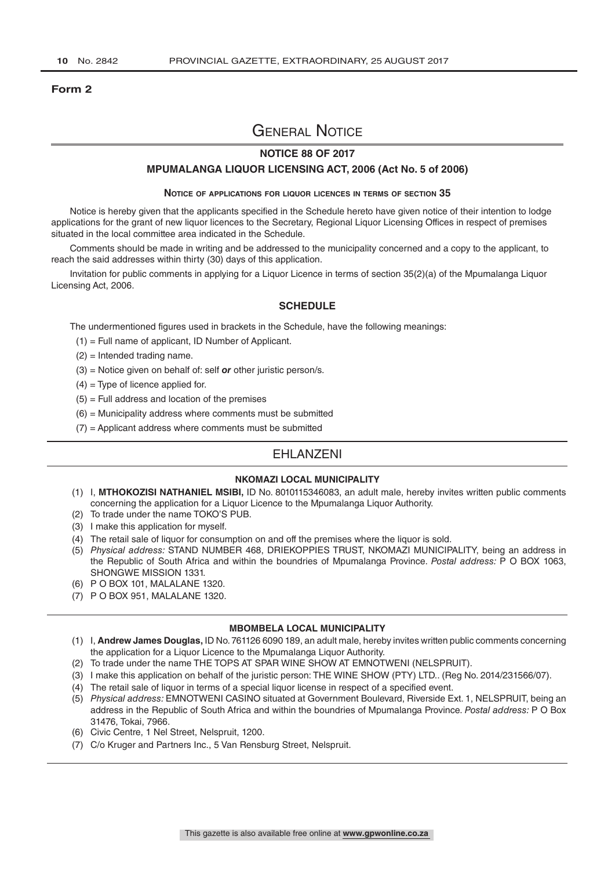#### **Form 2**

## General Notice

## **NOTICE 88 OF 2017**

#### **MPUMALANGA LIQUOR LICENSING ACT, 2006 (Act No. 5 of 2006)**

#### **Notice of applications for liquor licences in terms of section 35**

Notice is hereby given that the applicants specified in the Schedule hereto have given notice of their intention to lodge applications for the grant of new liquor licences to the Secretary, Regional Liquor Licensing Offices in respect of premises situated in the local committee area indicated in the Schedule.

Comments should be made in writing and be addressed to the municipality concerned and a copy to the applicant, to reach the said addresses within thirty (30) days of this application.

Invitation for public comments in applying for a Liquor Licence in terms of section 35(2)(a) of the Mpumalanga Liquor Licensing Act, 2006.

#### **SCHEDULE**

The undermentioned figures used in brackets in the Schedule, have the following meanings:

- (1) = Full name of applicant, ID Number of Applicant.
- (2) = Intended trading name.
- (3) = Notice given on behalf of: self *or* other juristic person/s.
- $(4)$  = Type of licence applied for.
- $(5)$  = Full address and location of the premises
- $(6)$  = Municipality address where comments must be submitted
- $(7)$  = Applicant address where comments must be submitted

## EHLANZENI

#### **NKOMAZI LOCAL MUNICIPALITY**

- (1) I, **MTHOKOZISI NATHANIEL MSIBI,** ID No. 8010115346083, an adult male, hereby invites written public comments concerning the application for a Liquor Licence to the Mpumalanga Liquor Authority.
- (2) To trade under the name TOKO'S PUB.
- (3) I make this application for myself.
- (4) The retail sale of liquor for consumption on and off the premises where the liquor is sold.
- (5) *Physical address:* STAND NUMBER 468, DRIEKOPPIES TRUST, NKOMAZI MUNICIPALITY, being an address in the Republic of South Africa and within the boundries of Mpumalanga Province. *Postal address:* P O BOX 1063, SHONGWE MISSION 1331.
- (6) P O BOX 101, MALALANE 1320.
- (7) P O BOX 951, MALALANE 1320.

- (1) I, **Andrew James Douglas,** ID No. 761126 6090 189, an adult male, hereby invites written public comments concerning the application for a Liquor Licence to the Mpumalanga Liquor Authority.
- (2) To trade under the name THE TOPS AT SPAR WINE SHOW AT EMNOTWENI (NELSPRUIT).
- (3) I make this application on behalf of the juristic person: THE WINE SHOW (PTY) LTD.. (Reg No. 2014/231566/07).
- (4) The retail sale of liquor in terms of a special liquor license in respect of a specified event.
- (5) *Physical address:* EMNOTWENI CASINO situated at Government Boulevard, Riverside Ext. 1, NELSPRUIT, being an address in the Republic of South Africa and within the boundries of Mpumalanga Province. *Postal address:* P O Box 31476, Tokai, 7966.
- (6) Civic Centre, 1 Nel Street, Nelspruit, 1200.
- (7) C/o Kruger and Partners Inc., 5 Van Rensburg Street, Nelspruit.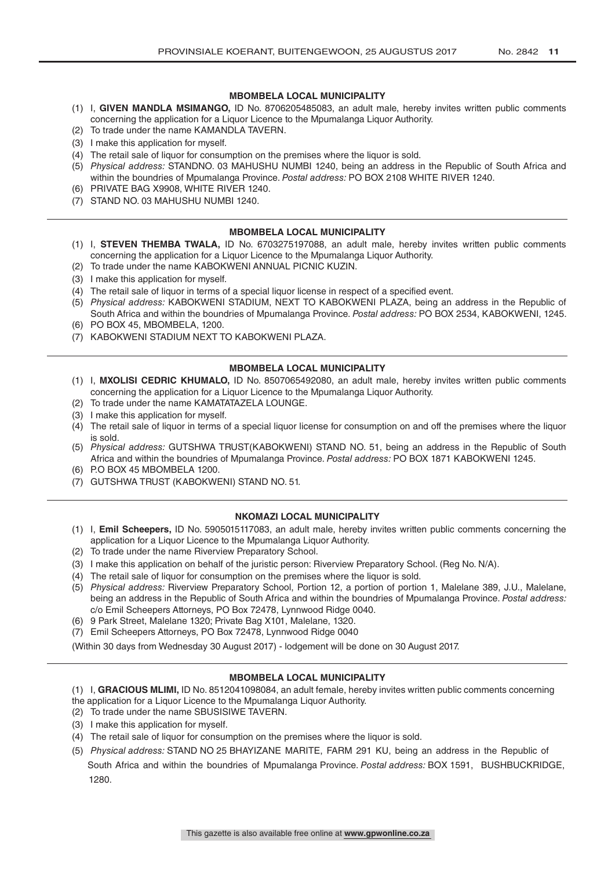## **MBOMBELA LOCAL MUNICIPALITY**

- (1) I, **GIVEN MANDLA MSIMANGO,** ID No. 8706205485083, an adult male, hereby invites written public comments concerning the application for a Liquor Licence to the Mpumalanga Liquor Authority.
- (2) To trade under the name KAMANDLA TAVERN.
- (3) I make this application for myself.
- (4) The retail sale of liquor for consumption on the premises where the liquor is sold.
- (5) *Physical address:* STANDNO. 03 MAHUSHU NUMBI 1240, being an address in the Republic of South Africa and within the boundries of Mpumalanga Province. *Postal address:* PO BOX 2108 WHITE RIVER 1240.
- (6) PRIVATE BAG X9908, WHITE RIVER 1240.
- (7) STAND NO. 03 MAHUSHU NUMBI 1240.

## **MBOMBELA LOCAL MUNICIPALITY**

- (1) I, **STEVEN THEMBA TWALA,** ID No. 6703275197088, an adult male, hereby invites written public comments concerning the application for a Liquor Licence to the Mpumalanga Liquor Authority.
- (2) To trade under the name KABOKWENI ANNUAL PICNIC KUZIN.
- (3) I make this application for myself.
- (4) The retail sale of liquor in terms of a special liquor license in respect of a specified event.
- (5) *Physical address:* KABOKWENI STADIUM, NEXT TO KABOKWENI PLAZA, being an address in the Republic of South Africa and within the boundries of Mpumalanga Province. *Postal address:* PO BOX 2534, KABOKWENI, 1245.
- (6) PO BOX 45, MBOMBELA, 1200.
- (7) KABOKWENI STADIUM NEXT TO KABOKWENI PLAZA.

## **MBOMBELA LOCAL MUNICIPALITY**

- (1) I, **MXOLISI CEDRIC KHUMALO,** ID No. 8507065492080, an adult male, hereby invites written public comments concerning the application for a Liquor Licence to the Mpumalanga Liquor Authority.
- (2) To trade under the name KAMATATAZELA LOUNGE.
- (3) I make this application for myself.
- (4) The retail sale of liquor in terms of a special liquor license for consumption on and off the premises where the liquor is sold.
- (5) *Physical address:* GUTSHWA TRUST(KABOKWENI) STAND NO. 51, being an address in the Republic of South Africa and within the boundries of Mpumalanga Province. *Postal address:* PO BOX 1871 KABOKWENI 1245.
- (6) P.O BOX 45 MBOMBELA 1200.
- (7) GUTSHWA TRUST (KABOKWENI) STAND NO. 51.

## **NKOMAZI LOCAL MUNICIPALITY**

- (1) I, **Emil Scheepers,** ID No. 5905015117083, an adult male, hereby invites written public comments concerning the application for a Liquor Licence to the Mpumalanga Liquor Authority.
- (2) To trade under the name Riverview Preparatory School.
- (3) I make this application on behalf of the juristic person: Riverview Preparatory School. (Reg No. N/A).
- (4) The retail sale of liquor for consumption on the premises where the liquor is sold.
- (5) *Physical address:* Riverview Preparatory School, Portion 12, a portion of portion 1, Malelane 389, J.U., Malelane, being an address in the Republic of South Africa and within the boundries of Mpumalanga Province. *Postal address:* c/o Emil Scheepers Attorneys, PO Box 72478, Lynnwood Ridge 0040.
- (6) 9 Park Street, Malelane 1320; Private Bag X101, Malelane, 1320.
- (7) Emil Scheepers Attorneys, PO Box 72478, Lynnwood Ridge 0040

(Within 30 days from Wednesday 30 August 2017) - lodgement will be done on 30 August 2017.

- (1) I, **GRACIOUS MLIMI,** ID No. 8512041098084, an adult female, hereby invites written public comments concerning
- the application for a Liquor Licence to the Mpumalanga Liquor Authority.
- (2) To trade under the name SBUSISIWE TAVERN.
- (3) I make this application for myself.
- (4) The retail sale of liquor for consumption on the premises where the liquor is sold.
- (5) *Physical address:* STAND NO 25 BHAYIZANE MARITE, FARM 291 KU, being an address in the Republic of South Africa and within the boundries of Mpumalanga Province. *Postal address:* BOX 1591, BUSHBUCKRIDGE, 1280.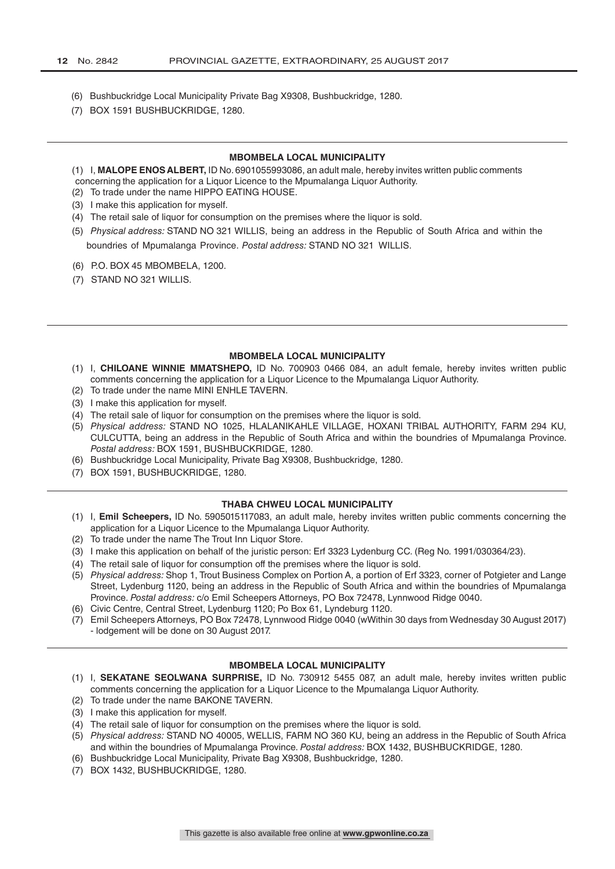- (6) Bushbuckridge Local Municipality Private Bag X9308, Bushbuckridge, 1280.
- (7) BOX 1591 BUSHBUCKRIDGE, 1280.

#### **MBOMBELA LOCAL MUNICIPALITY**

- (1) I, **MALOPE ENOS ALBERT,** ID No. 6901055993086, an adult male, hereby invites written public comments
- concerning the application for a Liquor Licence to the Mpumalanga Liquor Authority.
- (2) To trade under the name HIPPO EATING HOUSE.
- (3) I make this application for myself.
- (4) The retail sale of liquor for consumption on the premises where the liquor is sold.
- (5) *Physical address:* STAND NO 321 WILLIS, being an address in the Republic of South Africa and within the boundries of Mpumalanga Province. *Postal address:* STAND NO 321 WILLIS.
- (6) P.O. BOX 45 MBOMBELA, 1200.
- (7) STAND NO 321 WILLIS.

#### **MBOMBELA LOCAL MUNICIPALITY**

- (1) I, **CHILOANE WINNIE MMATSHEPO,** ID No. 700903 0466 084, an adult female, hereby invites written public comments concerning the application for a Liquor Licence to the Mpumalanga Liquor Authority.
- (2) To trade under the name MINI ENHLE TAVERN.
- (3) I make this application for myself.
- (4) The retail sale of liquor for consumption on the premises where the liquor is sold.
- (5) *Physical address:* STAND NO 1025, HLALANIKAHLE VILLAGE, HOXANI TRIBAL AUTHORITY, FARM 294 KU, CULCUTTA, being an address in the Republic of South Africa and within the boundries of Mpumalanga Province. *Postal address:* BOX 1591, BUSHBUCKRIDGE, 1280.
- (6) Bushbuckridge Local Municipality, Private Bag X9308, Bushbuckridge, 1280.
- (7) BOX 1591, BUSHBUCKRIDGE, 1280.

#### **THABA CHWEU LOCAL MUNICIPALITY**

- (1) I, **Emil Scheepers,** ID No. 5905015117083, an adult male, hereby invites written public comments concerning the application for a Liquor Licence to the Mpumalanga Liquor Authority.
- (2) To trade under the name The Trout Inn Liquor Store.
- (3) I make this application on behalf of the juristic person: Erf 3323 Lydenburg CC. (Reg No. 1991/030364/23).
- (4) The retail sale of liquor for consumption off the premises where the liquor is sold.
- (5) *Physical address:* Shop 1, Trout Business Complex on Portion A, a portion of Erf 3323, corner of Potgieter and Lange Street, Lydenburg 1120, being an address in the Republic of South Africa and within the boundries of Mpumalanga Province. *Postal address:* c/o Emil Scheepers Attorneys, PO Box 72478, Lynnwood Ridge 0040.
- (6) Civic Centre, Central Street, Lydenburg 1120; Po Box 61, Lyndeburg 1120.
- (7) Emil Scheepers Attorneys, PO Box 72478, Lynnwood Ridge 0040 (wWithin 30 days from Wednesday 30 August 2017) - lodgement will be done on 30 August 2017.

- (1) I, **SEKATANE SEOLWANA SURPRISE,** ID No. 730912 5455 087, an adult male, hereby invites written public comments concerning the application for a Liquor Licence to the Mpumalanga Liquor Authority.
- (2) To trade under the name BAKONE TAVERN.
- (3) I make this application for myself.
- (4) The retail sale of liquor for consumption on the premises where the liquor is sold.
- (5) *Physical address:* STAND NO 40005, WELLIS, FARM NO 360 KU, being an address in the Republic of South Africa and within the boundries of Mpumalanga Province. *Postal address:* BOX 1432, BUSHBUCKRIDGE, 1280.
- (6) Bushbuckridge Local Municipality, Private Bag X9308, Bushbuckridge, 1280.
- (7) BOX 1432, BUSHBUCKRIDGE, 1280.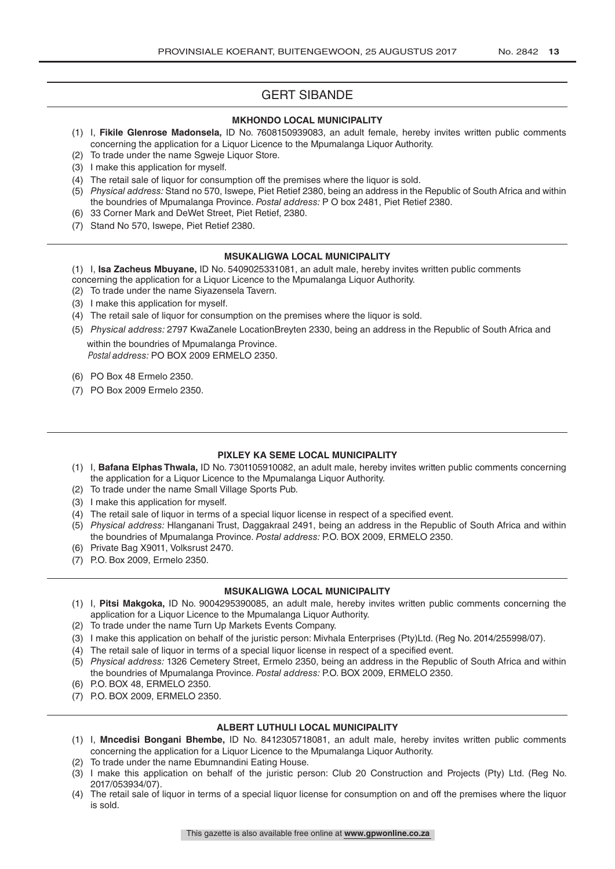## GERT SIBANDE

## **MKHONDO LOCAL MUNICIPALITY**

- (1) I, **Fikile Glenrose Madonsela,** ID No. 7608150939083, an adult female, hereby invites written public comments concerning the application for a Liquor Licence to the Mpumalanga Liquor Authority.
- (2) To trade under the name Sgweje Liquor Store.
- (3) I make this application for myself.
- (4) The retail sale of liquor for consumption off the premises where the liquor is sold.
- (5) *Physical address:* Stand no 570, Iswepe, Piet Retief 2380, being an address in the Republic of South Africa and within the boundries of Mpumalanga Province. *Postal address:* P O box 2481, Piet Retief 2380.
- (6) 33 Corner Mark and DeWet Street, Piet Retief, 2380.
- (7) Stand No 570, Iswepe, Piet Retief 2380.

#### **MSUKALIGWA LOCAL MUNICIPALITY**

(1) I, **Isa Zacheus Mbuyane,** ID No. 5409025331081, an adult male, hereby invites written public comments concerning the application for a Liquor Licence to the Mpumalanga Liquor Authority.

- (2) To trade under the name Siyazensela Tavern.
- (3) I make this application for myself.
- (4) The retail sale of liquor for consumption on the premises where the liquor is sold.
- (5) *Physical address:* 2797 KwaZanele LocationBreyten 2330, being an address in the Republic of South Africa and within the boundries of Mpumalanga Province.

Postal *address:* PO BOX 2009 ERMELO 2350.

- (6) PO Box 48 Ermelo 2350.
- (7) PO Box 2009 Ermelo 2350.

## **PIXLEY KA SEME LOCAL MUNICIPALITY**

- (1) I, **Bafana Elphas Thwala,** ID No. 7301105910082, an adult male, hereby invites written public comments concerning the application for a Liquor Licence to the Mpumalanga Liquor Authority.
- (2) To trade under the name Small Village Sports Pub.
- (3) I make this application for myself.
- (4) The retail sale of liquor in terms of a special liquor license in respect of a specified event.
- (5) *Physical address:* Hlanganani Trust, Daggakraal 2491, being an address in the Republic of South Africa and within the boundries of Mpumalanga Province. *Postal address:* P.O. BOX 2009, ERMELO 2350.
- (6) Private Bag X9011, Volksrust 2470.
- (7) P.O. Box 2009, Ermelo 2350.

#### **MSUKALIGWA LOCAL MUNICIPALITY**

- (1) I, **Pitsi Makgoka,** ID No. 9004295390085, an adult male, hereby invites written public comments concerning the application for a Liquor Licence to the Mpumalanga Liquor Authority.
- (2) To trade under the name Turn Up Markets Events Company.
- (3) I make this application on behalf of the juristic person: Mivhala Enterprises (Pty)Ltd. (Reg No. 2014/255998/07).
- (4) The retail sale of liquor in terms of a special liquor license in respect of a specified event.
- (5) *Physical address:* 1326 Cemetery Street, Ermelo 2350, being an address in the Republic of South Africa and within the boundries of Mpumalanga Province. *Postal address:* P.O. BOX 2009, ERMELO 2350.
- (6) P.O. BOX 48, ERMELO 2350.
- (7) P.O. BOX 2009, ERMELO 2350.

## **ALBERT LUTHULI LOCAL MUNICIPALITY**

- (1) I, **Mncedisi Bongani Bhembe,** ID No. 8412305718081, an adult male, hereby invites written public comments concerning the application for a Liquor Licence to the Mpumalanga Liquor Authority.
- (2) To trade under the name Ebumnandini Eating House.
- (3) I make this application on behalf of the juristic person: Club 20 Construction and Projects (Pty) Ltd. (Reg No. 2017/053934/07).
- (4) The retail sale of liquor in terms of a special liquor license for consumption on and off the premises where the liquor is sold.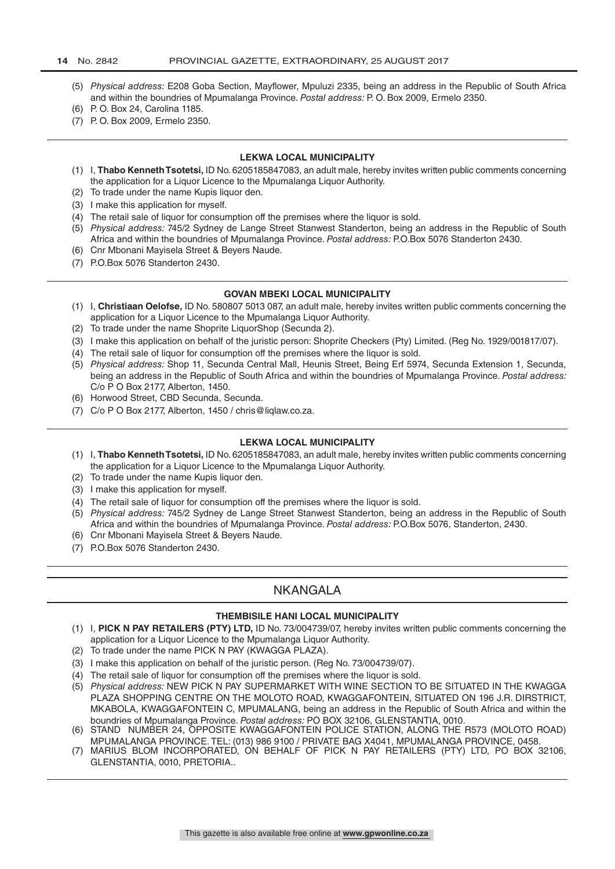- (5) *Physical address:* E208 Goba Section, Mayflower, Mpuluzi 2335, being an address in the Republic of South Africa and within the boundries of Mpumalanga Province. *Postal address:* P. O. Box 2009, Ermelo 2350.
- (6) P. O. Box 24, Carolina 1185.
- (7) P. O. Box 2009, Ermelo 2350.

#### **LEKWA LOCAL MUNICIPALITY**

- (1) I, **Thabo Kenneth Tsotetsi,** ID No. 6205185847083, an adult male, hereby invites written public comments concerning the application for a Liquor Licence to the Mpumalanga Liquor Authority.
- (2) To trade under the name Kupis liquor den.
- (3) I make this application for myself.
- (4) The retail sale of liquor for consumption off the premises where the liquor is sold.
- (5) *Physical address:* 745/2 Sydney de Lange Street Stanwest Standerton, being an address in the Republic of South Africa and within the boundries of Mpumalanga Province. *Postal address:* P.O.Box 5076 Standerton 2430.
- (6) Cnr Mbonani Mayisela Street & Beyers Naude.
- (7) P.O.Box 5076 Standerton 2430.

#### **GOVAN MBEKI LOCAL MUNICIPALITY**

- (1) I, **Christiaan Oelofse,** ID No. 580807 5013 087, an adult male, hereby invites written public comments concerning the application for a Liquor Licence to the Mpumalanga Liquor Authority.
- (2) To trade under the name Shoprite LiquorShop (Secunda 2).
- (3) I make this application on behalf of the juristic person: Shoprite Checkers (Pty) Limited. (Reg No. 1929/001817/07).
- (4) The retail sale of liquor for consumption off the premises where the liquor is sold.
- (5) *Physical address:* Shop 11, Secunda Central Mall, Heunis Street, Being Erf 5974, Secunda Extension 1, Secunda, being an address in the Republic of South Africa and within the boundries of Mpumalanga Province. *Postal address:* C/o P O Box 2177, Alberton, 1450.
- (6) Horwood Street, CBD Secunda, Secunda.
- (7) C/o P O Box 2177, Alberton, 1450 / chris@liqlaw.co.za.

#### **LEKWA LOCAL MUNICIPALITY**

- (1) I, **Thabo Kenneth Tsotetsi,** ID No. 6205185847083, an adult male, hereby invites written public comments concerning the application for a Liquor Licence to the Mpumalanga Liquor Authority.
- (2) To trade under the name Kupis liquor den.
- (3) I make this application for myself.
- (4) The retail sale of liquor for consumption off the premises where the liquor is sold.
- (5) *Physical address:* 745/2 Sydney de Lange Street Stanwest Standerton, being an address in the Republic of South Africa and within the boundries of Mpumalanga Province. *Postal address:* P.O.Box 5076, Standerton, 2430.
- (6) Cnr Mbonani Mayisela Street & Beyers Naude.
- (7) P.O.Box 5076 Standerton 2430.

## **NKANGALA**

## **THEMBISILE HANI LOCAL MUNICIPALITY**

- (1) I, **PICK N PAY RETAILERS (PTY) LTD,** ID No. 73/004739/07, hereby invites written public comments concerning the application for a Liquor Licence to the Mpumalanga Liquor Authority.
- (2) To trade under the name PICK N PAY (KWAGGA PLAZA).
- (3) I make this application on behalf of the juristic person. (Reg No. 73/004739/07).
- (4) The retail sale of liquor for consumption off the premises where the liquor is sold.
- (5) *Physical address:* NEW PICK N PAY SUPERMARKET WITH WINE SECTION TO BE SITUATED IN THE KWAGGA PLAZA SHOPPING CENTRE ON THE MOLOTO ROAD, KWAGGAFONTEIN, SITUATED ON 196 J.R. DIRSTRICT, MKABOLA, KWAGGAFONTEIN C, MPUMALANG, being an address in the Republic of South Africa and within the boundries of Mpumalanga Province. *Postal address:* PO BOX 32106, GLENSTANTIA, 0010.
- (6) STAND NUMBER 24, OPPOSITE KWAGGAFONTEIN POLICE STATION, ALONG THE R573 (MOLOTO ROAD) MPUMALANGA PROVINCE. TEL: (013) 986 9100 / PRIVATE BAG X4041, MPUMALANGA PROVINCE, 0458.
- (7) MARIUS BLOM INCORPORATED, ON BEHALF OF PICK N PAY RETAILERS (PTY) LTD, PO BOX 32106, GLENSTANTIA, 0010, PRETORIA..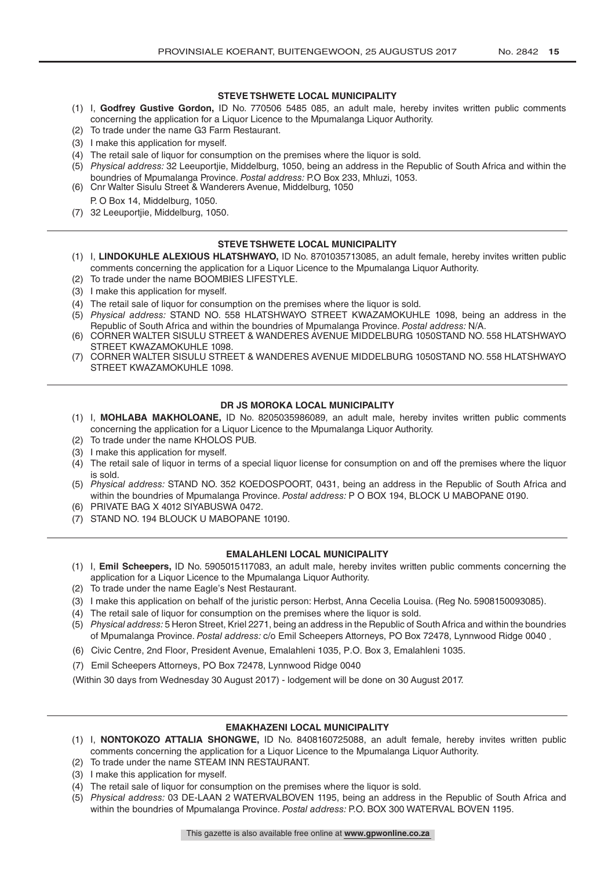## **STEVE TSHWETE LOCAL MUNICIPALITY**

- (1) I, **Godfrey Gustive Gordon,** ID No. 770506 5485 085, an adult male, hereby invites written public comments concerning the application for a Liquor Licence to the Mpumalanga Liquor Authority.
- (2) To trade under the name G3 Farm Restaurant.
- (3) I make this application for myself.
- (4) The retail sale of liquor for consumption on the premises where the liquor is sold.
- (5) *Physical address:* 32 Leeuportjie, Middelburg, 1050, being an address in the Republic of South Africa and within the boundries of Mpumalanga Province. *Postal address:* P.O Box 233, Mhluzi, 1053.
- (6) Cnr Walter Sisulu Street & Wanderers Avenue, Middelburg, 1050 P. O Box 14, Middelburg, 1050.
- (7) 32 Leeuportjie, Middelburg, 1050.

## **STEVE TSHWETE LOCAL MUNICIPALITY**

- (1) I, **LINDOKUHLE ALEXIOUS HLATSHWAYO,** ID No. 8701035713085, an adult female, hereby invites written public comments concerning the application for a Liquor Licence to the Mpumalanga Liquor Authority.
- (2) To trade under the name BOOMBIES LIFESTYLE.
- (3) I make this application for myself.
- (4) The retail sale of liquor for consumption on the premises where the liquor is sold.
- (5) *Physical address:* STAND NO. 558 HLATSHWAYO STREET KWAZAMOKUHLE 1098, being an address in the Republic of South Africa and within the boundries of Mpumalanga Province. *Postal address:* N/A.
- (6) CORNER WALTER SISULU STREET & WANDERES AVENUE MIDDELBURG 1050STAND NO. 558 HLATSHWAYO STREET KWAZAMOKUHLE 1098.
- (7) CORNER WALTER SISULU STREET & WANDERES AVENUE MIDDELBURG 1050STAND NO. 558 HLATSHWAYO STREET KWAZAMOKUHLE 1098.

## **DR JS MOROKA LOCAL MUNICIPALITY**

- (1) I, **MOHLABA MAKHOLOANE,** ID No. 8205035986089, an adult male, hereby invites written public comments concerning the application for a Liquor Licence to the Mpumalanga Liquor Authority.
- (2) To trade under the name KHOLOS PUB.
- (3) I make this application for myself.
- (4) The retail sale of liquor in terms of a special liquor license for consumption on and off the premises where the liquor is sold.
- (5) *Physical address:* STAND NO. 352 KOEDOSPOORT, 0431, being an address in the Republic of South Africa and within the boundries of Mpumalanga Province. *Postal address:* P O BOX 194, BLOCK U MABOPANE 0190.
- (6) PRIVATE BAG X 4012 SIYABUSWA 0472.
- (7) STAND NO. 194 BLOUCK U MABOPANE 10190.

## **EMALAHLENI LOCAL MUNICIPALITY**

- (1) I, **Emil Scheepers,** ID No. 5905015117083, an adult male, hereby invites written public comments concerning the application for a Liquor Licence to the Mpumalanga Liquor Authority.
- (2) To trade under the name Eagle's Nest Restaurant.
- (3) I make this application on behalf of the juristic person: Herbst, Anna Cecelia Louisa. (Reg No. 5908150093085).
- (4) The retail sale of liquor for consumption on the premises where the liquor is sold.
- (5) *Physical address:* 5 Heron Street, Kriel 2271, being an address in the Republic of South Africa and within the boundries of Mpumalanga Province. *Postal address:* c/o Emil Scheepers Attorneys, PO Box 72478, Lynnwood Ridge 0040 .
- (6) Civic Centre, 2nd Floor, President Avenue, Emalahleni 1035, P.O. Box 3, Emalahleni 1035.
- (7) Emil Scheepers Attorneys, PO Box 72478, Lynnwood Ridge 0040

(Within 30 days from Wednesday 30 August 2017) - lodgement will be done on 30 August 2017.

## **EMAKHAZENI LOCAL MUNICIPALITY**

- (1) I, **NONTOKOZO ATTALIA SHONGWE,** ID No. 8408160725088, an adult female, hereby invites written public comments concerning the application for a Liquor Licence to the Mpumalanga Liquor Authority.
- (2) To trade under the name STEAM INN RESTAURANT.
- (3) I make this application for myself.
- (4) The retail sale of liquor for consumption on the premises where the liquor is sold.
- (5) *Physical address:* 03 DE-LAAN 2 WATERVALBOVEN 1195, being an address in the Republic of South Africa and within the boundries of Mpumalanga Province. *Postal address:* P.O. BOX 300 WATERVAL BOVEN 1195.

This gazette is also available free online at **www.gpwonline.co.za**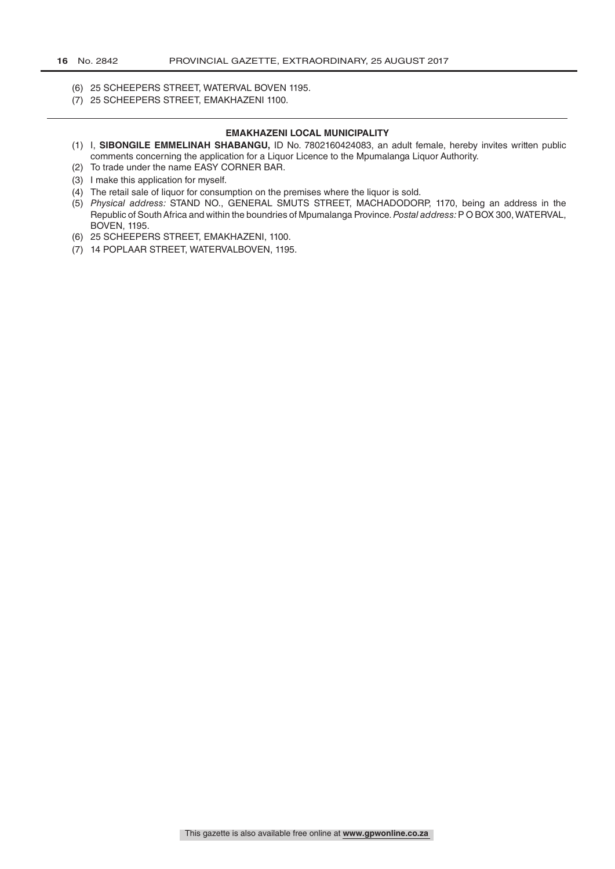- (6) 25 SCHEEPERS STREET, WATERVAL BOVEN 1195.
- (7) 25 SCHEEPERS STREET, EMAKHAZENI 1100.

#### **EMAKHAZENI LOCAL MUNICIPALITY**

- (1) I, **SIBONGILE EMMELINAH SHABANGU,** ID No. 7802160424083, an adult female, hereby invites written public comments concerning the application for a Liquor Licence to the Mpumalanga Liquor Authority.
- (2) To trade under the name EASY CORNER BAR.
- (3) I make this application for myself.
- (4) The retail sale of liquor for consumption on the premises where the liquor is sold.
- (5) *Physical address:* STAND NO., GENERAL SMUTS STREET, MACHADODORP, 1170, being an address in the Republic of South Africa and within the boundries of Mpumalanga Province. *Postal address:* P O BOX 300, WATERVAL, BOVEN, 1195.
- (6) 25 SCHEEPERS STREET, EMAKHAZENI, 1100.
- (7) 14 POPLAAR STREET, WATERVALBOVEN, 1195.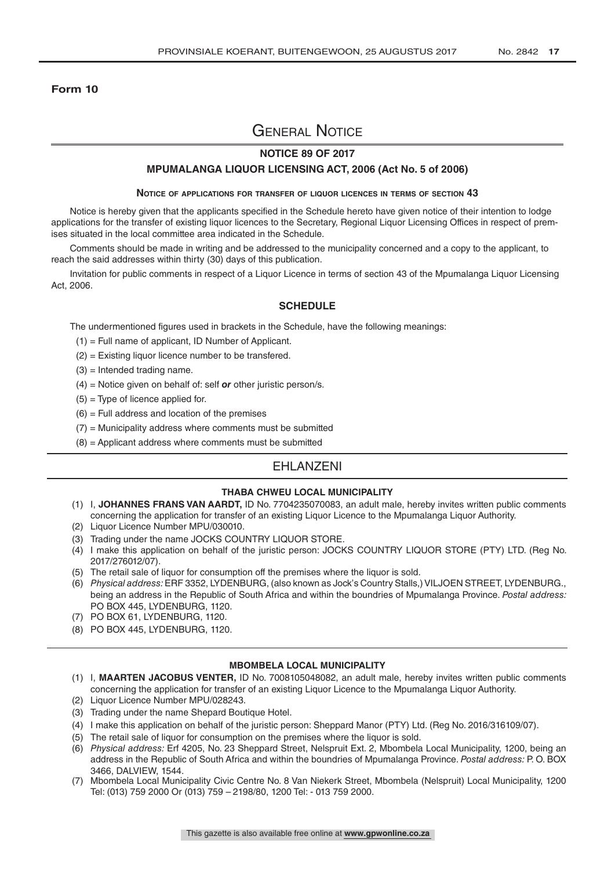#### **Form 10**

# General Notice

## **NOTICE 89 OF 2017**

#### **MPUMALANGA LIQUOR LICENSING ACT, 2006 (Act No. 5 of 2006)**

#### **Notice of applications for transfer of liquor licences in terms of section 43**

Notice is hereby given that the applicants specified in the Schedule hereto have given notice of their intention to lodge applications for the transfer of existing liquor licences to the Secretary, Regional Liquor Licensing Offices in respect of premises situated in the local committee area indicated in the Schedule.

Comments should be made in writing and be addressed to the municipality concerned and a copy to the applicant, to reach the said addresses within thirty (30) days of this publication.

Invitation for public comments in respect of a Liquor Licence in terms of section 43 of the Mpumalanga Liquor Licensing Act, 2006.

#### **SCHEDULE**

The undermentioned figures used in brackets in the Schedule, have the following meanings:

- (1) = Full name of applicant, ID Number of Applicant.
- (2) = Existing liquor licence number to be transfered.
- $(3)$  = Intended trading name.
- (4) = Notice given on behalf of: self *or* other juristic person/s.
- $(5)$  = Type of licence applied for.
- $(6)$  = Full address and location of the premises
- $(7)$  = Municipality address where comments must be submitted
- $(8)$  = Applicant address where comments must be submitted

## EHLANZENI

#### **THABA CHWEU LOCAL MUNICIPALITY**

- (1) I, **JOHANNES FRANS VAN AARDT,** ID No. 7704235070083, an adult male, hereby invites written public comments concerning the application for transfer of an existing Liquor Licence to the Mpumalanga Liquor Authority.
- (2) Liquor Licence Number MPU/030010.
- (3) Trading under the name JOCKS COUNTRY LIQUOR STORE.
- (4) I make this application on behalf of the juristic person: JOCKS COUNTRY LIQUOR STORE (PTY) LTD. (Reg No. 2017/276012/07).
- (5) The retail sale of liquor for consumption off the premises where the liquor is sold.
- (6) *Physical address:* ERF 3352, LYDENBURG, (also known as Jock's Country Stalls,) VILJOEN STREET, LYDENBURG., being an address in the Republic of South Africa and within the boundries of Mpumalanga Province. *Postal address:* PO BOX 445, LYDENBURG, 1120.
- (7) PO BOX 61, LYDENBURG, 1120.
- (8) PO BOX 445, LYDENBURG, 1120.

- (1) I, **MAARTEN JACOBUS VENTER,** ID No. 7008105048082, an adult male, hereby invites written public comments concerning the application for transfer of an existing Liquor Licence to the Mpumalanga Liquor Authority.
- (2) Liquor Licence Number MPU/028243.
- (3) Trading under the name Shepard Boutique Hotel.
- (4) I make this application on behalf of the juristic person: Sheppard Manor (PTY) Ltd. (Reg No. 2016/316109/07).
- (5) The retail sale of liquor for consumption on the premises where the liquor is sold.
- (6) *Physical address:* Erf 4205, No. 23 Sheppard Street, Nelspruit Ext. 2, Mbombela Local Municipality, 1200, being an address in the Republic of South Africa and within the boundries of Mpumalanga Province. *Postal address:* P. O. BOX 3466, DALVIEW, 1544.
- (7) Mbombela Local Municipality Civic Centre No. 8 Van Niekerk Street, Mbombela (Nelspruit) Local Municipality, 1200 Tel: (013) 759 2000 Or (013) 759 – 2198/80, 1200 Tel: - 013 759 2000.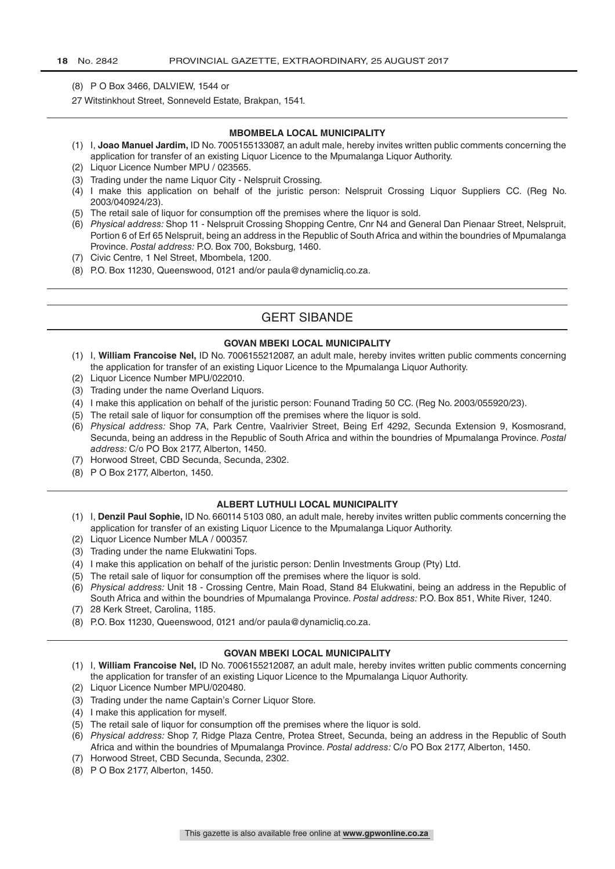- (8) P O Box 3466, DALVIEW, 1544 or
- 27 Witstinkhout Street, Sonneveld Estate, Brakpan, 1541.

#### **MBOMBELA LOCAL MUNICIPALITY**

- (1) I, **Joao Manuel Jardim,** ID No. 7005155133087, an adult male, hereby invites written public comments concerning the application for transfer of an existing Liquor Licence to the Mpumalanga Liquor Authority.
- (2) Liquor Licence Number MPU / 023565.
- (3) Trading under the name Liquor City Nelspruit Crossing.
- (4) I make this application on behalf of the juristic person: Nelspruit Crossing Liquor Suppliers CC. (Reg No. 2003/040924/23).
- (5) The retail sale of liquor for consumption off the premises where the liquor is sold.
- (6) *Physical address:* Shop 11 Nelspruit Crossing Shopping Centre, Cnr N4 and General Dan Pienaar Street, Nelspruit, Portion 6 of Erf 65 Nelspruit, being an address in the Republic of South Africa and within the boundries of Mpumalanga Province. *Postal address:* P.O. Box 700, Boksburg, 1460.
- (7) Civic Centre, 1 Nel Street, Mbombela, 1200.
- (8) P.O. Box 11230, Queenswood, 0121 and/or paula@dynamicliq.co.za.

## GERT SIBANDE

#### **GOVAN MBEKI LOCAL MUNICIPALITY**

- (1) I, **William Francoise Nel,** ID No. 7006155212087, an adult male, hereby invites written public comments concerning the application for transfer of an existing Liquor Licence to the Mpumalanga Liquor Authority.
- (2) Liquor Licence Number MPU/022010.
- (3) Trading under the name Overland Liquors.
- (4) I make this application on behalf of the juristic person: Founand Trading 50 CC. (Reg No. 2003/055920/23).
- (5) The retail sale of liquor for consumption off the premises where the liquor is sold.
- (6) *Physical address:* Shop 7A, Park Centre, Vaalrivier Street, Being Erf 4292, Secunda Extension 9, Kosmosrand, Secunda, being an address in the Republic of South Africa and within the boundries of Mpumalanga Province. *Postal address:* C/o PO Box 2177, Alberton, 1450.
- (7) Horwood Street, CBD Secunda, Secunda, 2302.
- (8) P O Box 2177, Alberton, 1450.

#### **ALBERT LUTHULI LOCAL MUNICIPALITY**

- (1) I, **Denzil Paul Sophie,** ID No. 660114 5103 080, an adult male, hereby invites written public comments concerning the application for transfer of an existing Liquor Licence to the Mpumalanga Liquor Authority.
- (2) Liquor Licence Number MLA / 000357.
- (3) Trading under the name Elukwatini Tops.
- (4) I make this application on behalf of the juristic person: Denlin Investments Group (Pty) Ltd.
- (5) The retail sale of liquor for consumption off the premises where the liquor is sold.
- (6) *Physical address:* Unit 18 Crossing Centre, Main Road, Stand 84 Elukwatini, being an address in the Republic of South Africa and within the boundries of Mpumalanga Province. *Postal address:* P.O. Box 851, White River, 1240.
- (7) 28 Kerk Street, Carolina, 1185.
- (8) P.O. Box 11230, Queenswood, 0121 and/or paula@dynamicliq.co.za.

#### **GOVAN MBEKI LOCAL MUNICIPALITY**

- (1) I, **William Francoise Nel,** ID No. 7006155212087, an adult male, hereby invites written public comments concerning the application for transfer of an existing Liquor Licence to the Mpumalanga Liquor Authority.
- (2) Liquor Licence Number MPU/020480.
- (3) Trading under the name Captain's Corner Liquor Store.
- (4) I make this application for myself.
- (5) The retail sale of liquor for consumption off the premises where the liquor is sold.
- (6) *Physical address:* Shop 7, Ridge Plaza Centre, Protea Street, Secunda, being an address in the Republic of South Africa and within the boundries of Mpumalanga Province. *Postal address:* C/o PO Box 2177, Alberton, 1450.
- (7) Horwood Street, CBD Secunda, Secunda, 2302.
- (8) P O Box 2177, Alberton, 1450.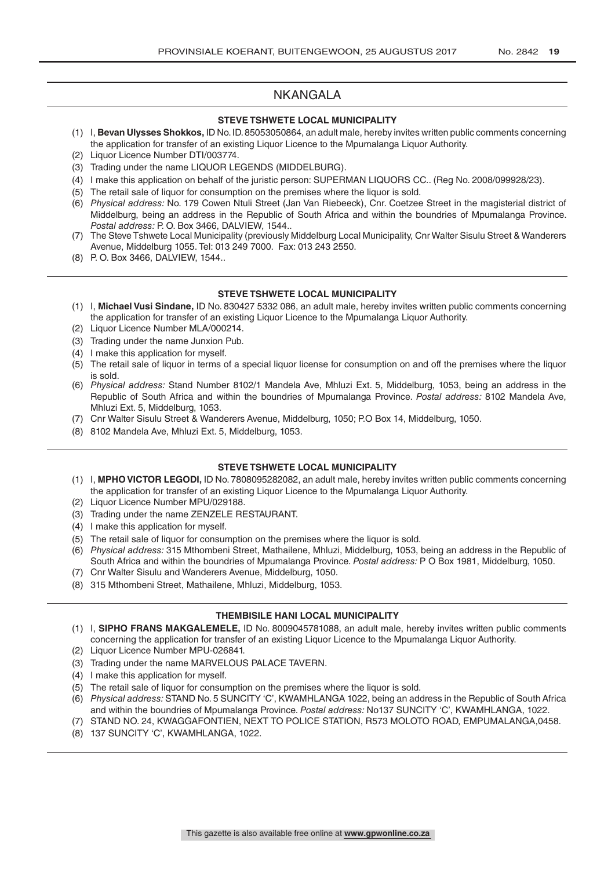## NKANGALA

#### **STEVE TSHWETE LOCAL MUNICIPALITY**

- (1) I, **Bevan Ulysses Shokkos,** ID No. ID. 85053050864, an adult male, hereby invites written public comments concerning the application for transfer of an existing Liquor Licence to the Mpumalanga Liquor Authority.
- (2) Liquor Licence Number DTI/003774.
- (3) Trading under the name LIQUOR LEGENDS (MIDDELBURG).
- (4) I make this application on behalf of the juristic person: SUPERMAN LIQUORS CC.. (Reg No. 2008/099928/23).
- (5) The retail sale of liquor for consumption on the premises where the liquor is sold.
- (6) *Physical address:* No. 179 Cowen Ntuli Street (Jan Van Riebeeck), Cnr. Coetzee Street in the magisterial district of Middelburg, being an address in the Republic of South Africa and within the boundries of Mpumalanga Province. *Postal address:* P. O. Box 3466, DALVIEW, 1544..
- (7) The Steve Tshwete Local Municipality (previously Middelburg Local Municipality, Cnr Walter Sisulu Street & Wanderers Avenue, Middelburg 1055. Tel: 013 249 7000. Fax: 013 243 2550.
- (8) P. O. Box 3466, DALVIEW, 1544..

#### **STEVE TSHWETE LOCAL MUNICIPALITY**

- (1) I, **Michael Vusi Sindane,** ID No. 830427 5332 086, an adult male, hereby invites written public comments concerning the application for transfer of an existing Liquor Licence to the Mpumalanga Liquor Authority.
- (2) Liquor Licence Number MLA/000214.
- (3) Trading under the name Junxion Pub.
- (4) I make this application for myself.
- (5) The retail sale of liquor in terms of a special liquor license for consumption on and off the premises where the liquor is sold.
- (6) *Physical address:* Stand Number 8102/1 Mandela Ave, Mhluzi Ext. 5, Middelburg, 1053, being an address in the Republic of South Africa and within the boundries of Mpumalanga Province. *Postal address:* 8102 Mandela Ave, Mhluzi Ext. 5, Middelburg, 1053.
- (7) Cnr Walter Sisulu Street & Wanderers Avenue, Middelburg, 1050; P.O Box 14, Middelburg, 1050.
- (8) 8102 Mandela Ave, Mhluzi Ext. 5, Middelburg, 1053.

## **STEVE TSHWETE LOCAL MUNICIPALITY**

- (1) I, **MPHO VICTOR LEGODI,** ID No. 7808095282082, an adult male, hereby invites written public comments concerning the application for transfer of an existing Liquor Licence to the Mpumalanga Liquor Authority.
- (2) Liquor Licence Number MPU/029188.
- (3) Trading under the name ZENZELE RESTAURANT.
- (4) I make this application for myself.
- (5) The retail sale of liquor for consumption on the premises where the liquor is sold.
- (6) *Physical address:* 315 Mthombeni Street, Mathailene, Mhluzi, Middelburg, 1053, being an address in the Republic of South Africa and within the boundries of Mpumalanga Province. *Postal address:* P O Box 1981, Middelburg, 1050.
- (7) Cnr Walter Sisulu and Wanderers Avenue, Middelburg, 1050.
- (8) 315 Mthombeni Street, Mathailene, Mhluzi, Middelburg, 1053.

## **THEMBISILE HANI LOCAL MUNICIPALITY**

- (1) I, **SIPHO FRANS MAKGALEMELE,** ID No. 8009045781088, an adult male, hereby invites written public comments concerning the application for transfer of an existing Liquor Licence to the Mpumalanga Liquor Authority.
- (2) Liquor Licence Number MPU-026841.
- (3) Trading under the name MARVELOUS PALACE TAVERN.
- (4) I make this application for myself.
- (5) The retail sale of liquor for consumption on the premises where the liquor is sold.
- (6) *Physical address:* STAND No. 5 SUNCITY 'C', KWAMHLANGA 1022, being an address in the Republic of South Africa and within the boundries of Mpumalanga Province. *Postal address:* No137 SUNCITY 'C', KWAMHLANGA, 1022.
- (7) STAND NO. 24, KWAGGAFONTIEN, NEXT TO POLICE STATION, R573 MOLOTO ROAD, EMPUMALANGA,0458.
- (8) 137 SUNCITY 'C', KWAMHLANGA, 1022.